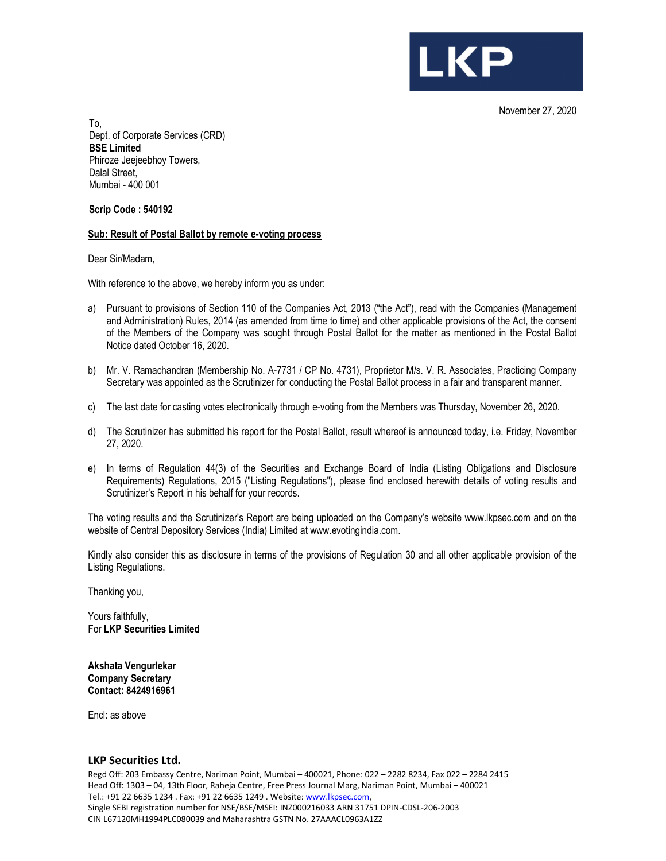

November 27, 2020

To, Dept. of Corporate Services (CRD) BSE Limited Phiroze Jeejeebhoy Towers, Dalal Street. Mumbai - 400 001

Scrip Code : 540192

#### Sub: Result of Postal Ballot by remote e-voting process

Dear Sir/Madam,

With reference to the above, we hereby inform you as under:

- a) Pursuant to provisions of Section 110 of the Companies Act, 2013 ("the Act"), read with the Companies (Management and Administration) Rules, 2014 (as amended from time to time) and other applicable provisions of the Act, the consent of the Members of the Company was sought through Postal Ballot for the matter as mentioned in the Postal Ballot Notice dated October 16, 2020.
- b) Mr. V. Ramachandran (Membership No. A-7731 / CP No. 4731), Proprietor M/s. V. R. Associates, Practicing Company Secretary was appointed as the Scrutinizer for conducting the Postal Ballot process in a fair and transparent manner.
- c) The last date for casting votes electronically through e-voting from the Members was Thursday, November 26, 2020.
- d) The Scrutinizer has submitted his report for the Postal Ballot, result whereof is announced today, i.e. Friday, November 27, 2020.
- e) In terms of Regulation 44(3) of the Securities and Exchange Board of India (Listing Obligations and Disclosure Requirements) Regulations, 2015 ("Listing Regulations"), please find enclosed herewith details of voting results and Scrutinizer's Report in his behalf for your records.

The voting results and the Scrutinizer's Report are being uploaded on the Company's website www.lkpsec.com and on the website of Central Depository Services (India) Limited at www.evotingindia.com.

Kindly also consider this as disclosure in terms of the provisions of Regulation 30 and all other applicable provision of the Listing Regulations.

Thanking you,

Yours faithfully, For LKP Securities Limited

Akshata Vengurlekar Company Secretary Contact: 8424916961

Encl: as above

#### LKP Securities Ltd.

Regd Off: 203 Embassy Centre, Nariman Point, Mumbai – 400021, Phone: 022 – 2282 8234, Fax 022 – 2284 2415 Head Off: 1303 – 04, 13th Floor, Raheja Centre, Free Press Journal Marg, Nariman Point, Mumbai – 400021 Tel.: +91 22 6635 1234 . Fax: +91 22 6635 1249 . Website: www.lkpsec.com,<br>Single SEBI registration number for NSE/BSE/MSEI: INZ000216033 ARN 31751 DPIN-CDSL-206-2003 CIN L67120MH1994PLC080039 and Maharashtra GSTN No. 27AAACL0963A1ZZ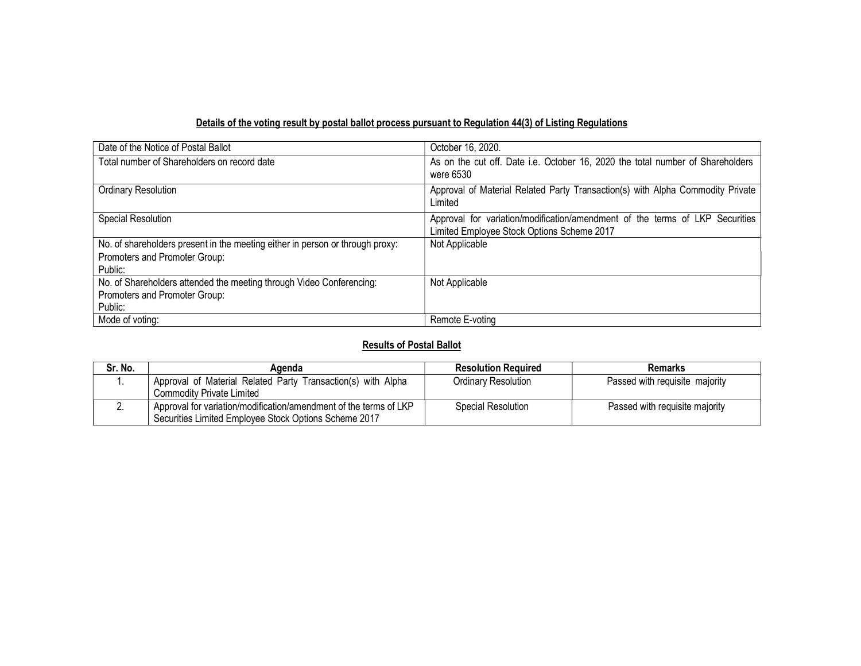## Details of the voting result by postal ballot process pursuant to Regulation 44(3) of Listing Regulations

| Date of the Notice of Postal Ballot                                           | October 16, 2020.                                                                                                          |
|-------------------------------------------------------------------------------|----------------------------------------------------------------------------------------------------------------------------|
| Total number of Shareholders on record date                                   | As on the cut off. Date i.e. October 16, 2020 the total number of Shareholders<br>were 6530                                |
| <b>Ordinary Resolution</b>                                                    | Approval of Material Related Party Transaction(s) with Alpha Commodity Private<br>Limited                                  |
| Special Resolution                                                            | Approval for variation/modification/amendment of the terms of LKP Securities<br>Limited Employee Stock Options Scheme 2017 |
| No. of shareholders present in the meeting either in person or through proxy: | Not Applicable                                                                                                             |
| Promoters and Promoter Group:                                                 |                                                                                                                            |
| Public:                                                                       |                                                                                                                            |
| No. of Shareholders attended the meeting through Video Conferencing:          | Not Applicable                                                                                                             |
| Promoters and Promoter Group:                                                 |                                                                                                                            |
| Public:                                                                       |                                                                                                                            |
| Mode of voting:                                                               | Remote E-voting                                                                                                            |

### Results of Postal Ballot

| Sr. No. | Agenda                                                                                                                     | <b>Resolution Required</b> | Remarks                        |
|---------|----------------------------------------------------------------------------------------------------------------------------|----------------------------|--------------------------------|
|         | Approval of Material Related Party Transaction(s) with Alpha                                                               | Ordinary Resolution        | Passed with requisite majority |
|         | <b>Commodity Private Limited</b>                                                                                           |                            |                                |
|         | Approval for variation/modification/amendment of the terms of LKP<br>Securities Limited Employee Stock Options Scheme 2017 | Special Resolution         | Passed with requisite majority |
|         |                                                                                                                            |                            |                                |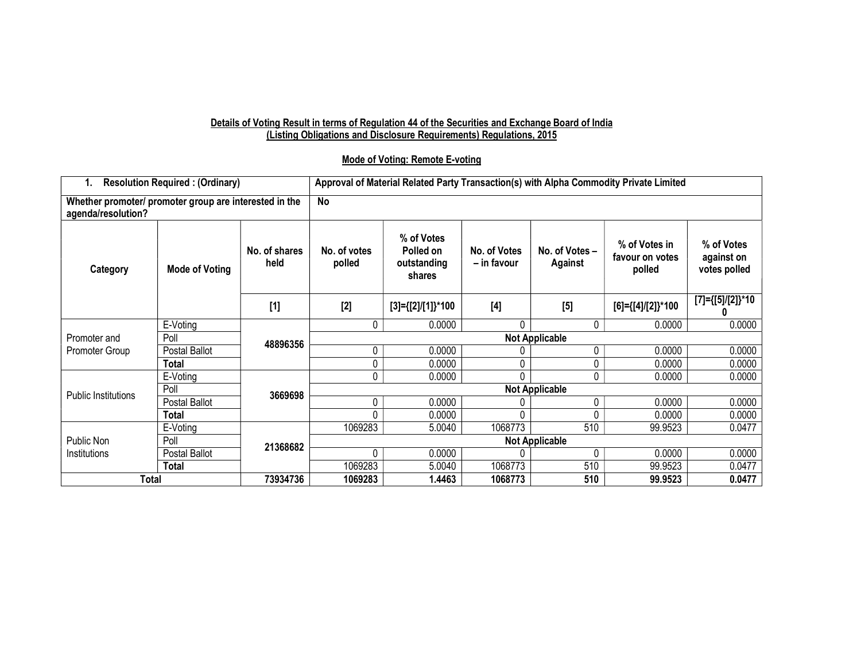#### Details of Voting Result in terms of Regulation 44 of the Securities and Exchange Board of India (Listing Obligations and Disclosure Requirements) Regulations, 2015

### Mode of Voting: Remote E-voting

| <b>Resolution Required: (Ordinary)</b>                                       |                | Approval of Material Related Party Transaction(s) with Alpha Commodity Private Limited |                        |                                                  |                             |                           |                                            |                                          |
|------------------------------------------------------------------------------|----------------|----------------------------------------------------------------------------------------|------------------------|--------------------------------------------------|-----------------------------|---------------------------|--------------------------------------------|------------------------------------------|
| Whether promoter/ promoter group are interested in the<br>agenda/resolution? |                |                                                                                        | No                     |                                                  |                             |                           |                                            |                                          |
| Category                                                                     | Mode of Voting | No. of shares<br>held                                                                  | No. of votes<br>polled | % of Votes<br>Polled on<br>outstanding<br>shares | No. of Votes<br>– in favour | No. of Votes -<br>Against | % of Votes in<br>favour on votes<br>polled | % of Votes<br>against on<br>votes polled |
|                                                                              |                | $[1]$                                                                                  | $[2]$                  | $[3] = \{ [2] / [1] \}$ *100                     | $[4]$                       | $[5]$                     | [6]={[4]/[2]}*100                          | [7]={[5]/[2]}*10                         |
|                                                                              | E-Voting       | 48896356                                                                               | 0                      | 0.0000                                           | 0                           | 0                         | 0.0000                                     | 0.0000                                   |
| Promoter and                                                                 | Poll           |                                                                                        | <b>Not Applicable</b>  |                                                  |                             |                           |                                            |                                          |
| Promoter Group                                                               | Postal Ballot  |                                                                                        | 0                      | 0.0000                                           |                             | 0                         | 0.0000                                     | 0.0000                                   |
|                                                                              | <b>Total</b>   |                                                                                        | 0                      | 0.0000                                           |                             | 0                         | 0.0000                                     | 0.0000                                   |
|                                                                              | E-Voting       | 3669698                                                                                | 0                      | 0.0000                                           | 0                           | 0                         | 0.0000                                     | 0.0000                                   |
| Public Institutions                                                          | Poll           |                                                                                        | <b>Not Applicable</b>  |                                                  |                             |                           |                                            |                                          |
|                                                                              | Postal Ballot  |                                                                                        | 0                      | 0.0000                                           |                             | 0                         | 0.0000                                     | 0.0000                                   |
|                                                                              | <b>Total</b>   |                                                                                        | 0                      | 0.0000                                           | 0                           | 0                         | 0.0000                                     | 0.0000                                   |
|                                                                              | E-Voting       | 21368682                                                                               | 1069283                | 5.0040                                           | 1068773                     | 510                       | 99.9523                                    | 0.0477                                   |
| Public Non                                                                   | Poll           |                                                                                        | <b>Not Applicable</b>  |                                                  |                             |                           |                                            |                                          |
| Institutions                                                                 | Postal Ballot  |                                                                                        | $\Omega$               | 0.0000                                           |                             | 0                         | 0.0000                                     | 0.0000                                   |
|                                                                              | <b>Total</b>   |                                                                                        | 1069283                | 5.0040                                           | 1068773                     | 510                       | 99.9523                                    | 0.0477                                   |
| 73934736<br>Total                                                            |                | 1069283                                                                                | 1.4463                 | 1068773                                          | 510                         | 99.9523                   | 0.0477                                     |                                          |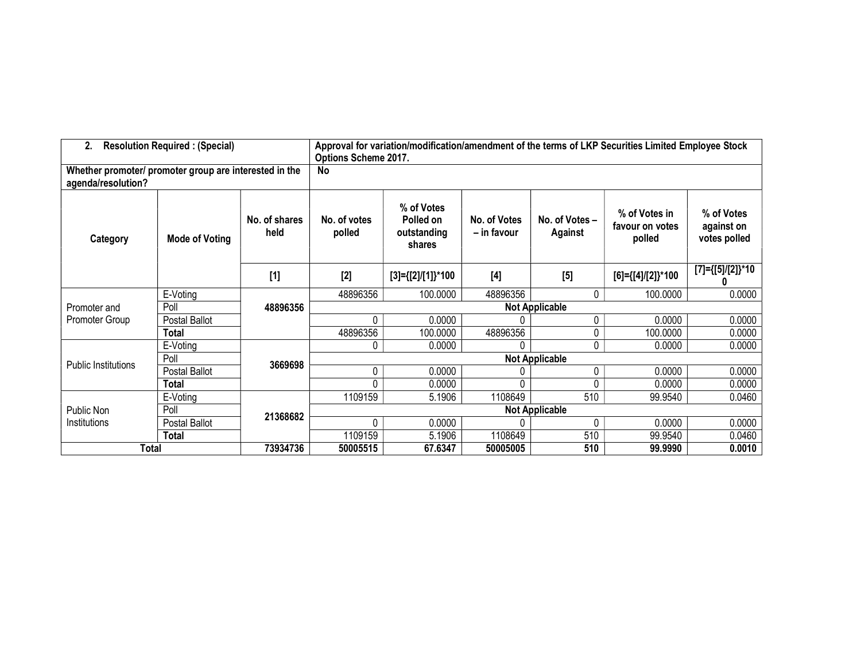| <b>Resolution Required: (Special)</b><br>2.                                  |                       |                       | Approval for variation/modification/amendment of the terms of LKP Securities Limited Employee Stock<br><b>Options Scheme 2017.</b> |                                                  |                             |                           |                                            |                                          |
|------------------------------------------------------------------------------|-----------------------|-----------------------|------------------------------------------------------------------------------------------------------------------------------------|--------------------------------------------------|-----------------------------|---------------------------|--------------------------------------------|------------------------------------------|
| Whether promoter/ promoter group are interested in the<br>agenda/resolution? |                       |                       | No                                                                                                                                 |                                                  |                             |                           |                                            |                                          |
| Category                                                                     | <b>Mode of Voting</b> | No. of shares<br>held | No. of votes<br>polled                                                                                                             | % of Votes<br>Polled on<br>outstanding<br>shares | No. of Votes<br>– in favour | No. of Votes -<br>Against | % of Votes in<br>favour on votes<br>polled | % of Votes<br>against on<br>votes polled |
|                                                                              |                       | $[1]$                 | $[2]$                                                                                                                              | $[3] = \{ [2] / [1] \}$ *100                     | $[4]$                       | $[5]$                     | [6]={[4]/[2]}*100                          | $[7] = \{ [5] / [2] \}$ *10              |
|                                                                              | E-Voting              | 48896356              | 48896356                                                                                                                           | 100.0000                                         | 48896356                    | 0                         | 100.0000                                   | 0.0000                                   |
| Promoter and                                                                 | Poll                  |                       | <b>Not Applicable</b>                                                                                                              |                                                  |                             |                           |                                            |                                          |
| Promoter Group                                                               | Postal Ballot         |                       | 0                                                                                                                                  | 0.0000                                           |                             | 0                         | 0.0000                                     | 0.0000                                   |
|                                                                              | <b>Total</b>          |                       | 48896356                                                                                                                           | 100.0000                                         | 48896356                    | 0                         | 100.0000                                   | 0.0000                                   |
|                                                                              | E-Voting              | 3669698               | 0                                                                                                                                  | 0.0000                                           | 0                           | 0                         | 0.0000                                     | 0.0000                                   |
| <b>Public Institutions</b>                                                   | Poll                  |                       | <b>Not Applicable</b>                                                                                                              |                                                  |                             |                           |                                            |                                          |
|                                                                              | Postal Ballot         |                       | 0                                                                                                                                  | 0.0000                                           |                             | 0                         | 0.0000                                     | 0.0000                                   |
|                                                                              | <b>Total</b>          |                       | $\Omega$                                                                                                                           | 0.0000                                           | 0                           | 0                         | 0.0000                                     | 0.0000                                   |
|                                                                              | E-Voting              |                       | 1109159                                                                                                                            | 5.1906                                           | 1108649                     | 510                       | 99.9540                                    | 0.0460                                   |
| Public Non                                                                   | Poll                  | 21368682              | <b>Not Applicable</b>                                                                                                              |                                                  |                             |                           |                                            |                                          |
| Institutions                                                                 | Postal Ballot         |                       | 0                                                                                                                                  | 0.0000                                           |                             | 0                         | 0.0000                                     | 0.0000                                   |
|                                                                              | <b>Total</b>          |                       | 1109159                                                                                                                            | 5.1906                                           | 1108649                     | 510                       | 99.9540                                    | 0.0460                                   |
| <b>Total</b>                                                                 |                       | 73934736              | 50005515                                                                                                                           | 67.6347                                          | 50005005                    | 510                       | 99.9990                                    | 0.0010                                   |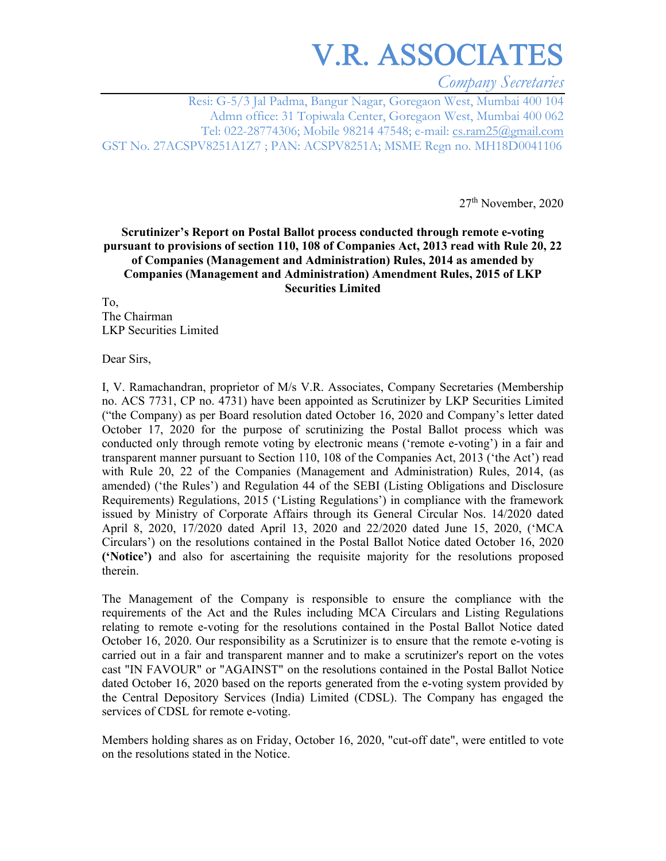## V.R. ASSOCIATES

*Company Secretaries* 

Resi: G-5/3 Jal Padma, Bangur Nagar, Goregaon West, Mumbai 400 104 Admn office: 31 Topiwala Center, Goregaon West, Mumbai 400 062 Tel: 022-28774306; Mobile 98214 47548; e-mail: cs.ram25@gmail.com GST No. 27ACSPV8251A1Z7 ; PAN: ACSPV8251A; MSME Regn no. MH18D0041106

27th November, 2020

#### **Scrutinizer's Report on Postal Ballot process conducted through remote e-voting pursuant to provisions of section 110, 108 of Companies Act, 2013 read with Rule 20, 22 of Companies (Management and Administration) Rules, 2014 as amended by Companies (Management and Administration) Amendment Rules, 2015 of LKP Securities Limited**

To, The Chairman LKP Securities Limited

Dear Sirs,

I, V. Ramachandran, proprietor of M/s V.R. Associates, Company Secretaries (Membership no. ACS 7731, CP no. 4731) have been appointed as Scrutinizer by LKP Securities Limited ("the Company) as per Board resolution dated October 16, 2020 and Company's letter dated October 17, 2020 for the purpose of scrutinizing the Postal Ballot process which was conducted only through remote voting by electronic means ('remote e-voting') in a fair and transparent manner pursuant to Section 110, 108 of the Companies Act, 2013 ('the Act') read with Rule 20, 22 of the Companies (Management and Administration) Rules, 2014, (as amended) ('the Rules') and Regulation 44 of the SEBI (Listing Obligations and Disclosure Requirements) Regulations, 2015 ('Listing Regulations') in compliance with the framework issued by Ministry of Corporate Affairs through its General Circular Nos. 14/2020 dated April 8, 2020, 17/2020 dated April 13, 2020 and 22/2020 dated June 15, 2020, ('MCA Circulars') on the resolutions contained in the Postal Ballot Notice dated October 16, 2020 **('Notice')** and also for ascertaining the requisite majority for the resolutions proposed therein.

The Management of the Company is responsible to ensure the compliance with the requirements of the Act and the Rules including MCA Circulars and Listing Regulations relating to remote e-voting for the resolutions contained in the Postal Ballot Notice dated October 16, 2020. Our responsibility as a Scrutinizer is to ensure that the remote e-voting is carried out in a fair and transparent manner and to make a scrutinizer's report on the votes cast "IN FAVOUR" or "AGAINST" on the resolutions contained in the Postal Ballot Notice dated October 16, 2020 based on the reports generated from the e-voting system provided by the Central Depository Services (India) Limited (CDSL). The Company has engaged the services of CDSL for remote e-voting.

Members holding shares as on Friday, October 16, 2020, "cut-off date", were entitled to vote on the resolutions stated in the Notice.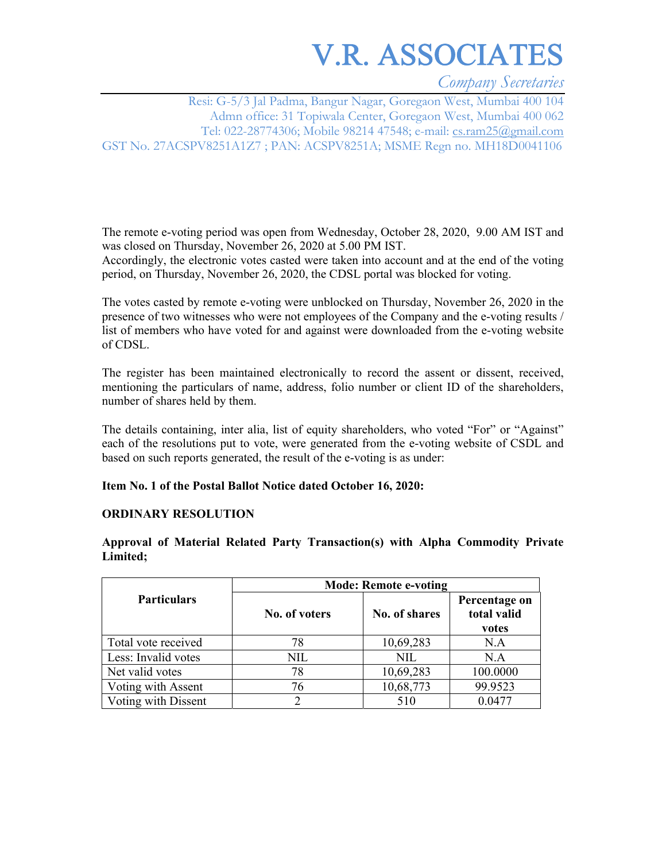# V.R. ASSOCIATES

*Company Secretaries* 

Resi: G-5/3 Jal Padma, Bangur Nagar, Goregaon West, Mumbai 400 104 Admn office: 31 Topiwala Center, Goregaon West, Mumbai 400 062 Tel: 022-28774306; Mobile 98214 47548; e-mail: cs.ram25@gmail.com GST No. 27ACSPV8251A1Z7 ; PAN: ACSPV8251A; MSME Regn no. MH18D0041106

The remote e-voting period was open from Wednesday, October 28, 2020, 9.00 AM IST and was closed on Thursday, November 26, 2020 at 5.00 PM IST.

Accordingly, the electronic votes casted were taken into account and at the end of the voting period, on Thursday, November 26, 2020, the CDSL portal was blocked for voting.

The votes casted by remote e-voting were unblocked on Thursday, November 26, 2020 in the presence of two witnesses who were not employees of the Company and the e-voting results / list of members who have voted for and against were downloaded from the e-voting website of CDSL.

The register has been maintained electronically to record the assent or dissent, received, mentioning the particulars of name, address, folio number or client ID of the shareholders, number of shares held by them.

The details containing, inter alia, list of equity shareholders, who voted "For" or "Against" each of the resolutions put to vote, were generated from the e-voting website of CSDL and based on such reports generated, the result of the e-voting is as under:

#### **Item No. 1 of the Postal Ballot Notice dated October 16, 2020:**

#### **ORDINARY RESOLUTION**

**Approval of Material Related Party Transaction(s) with Alpha Commodity Private Limited;** 

|                     | <b>Mode: Remote e-voting</b> |               |                                       |  |  |
|---------------------|------------------------------|---------------|---------------------------------------|--|--|
| <b>Particulars</b>  | No. of voters                | No. of shares | Percentage on<br>total valid<br>votes |  |  |
| Total vote received | 78                           | 10,69,283     | N.A                                   |  |  |
| Less: Invalid votes | NIL                          | <b>NIL</b>    | N.A                                   |  |  |
| Net valid votes     | 78                           | 10,69,283     | 100.0000                              |  |  |
| Voting with Assent  | 76                           | 10,68,773     | 99.9523                               |  |  |
| Voting with Dissent |                              | 510           | 0.0477                                |  |  |